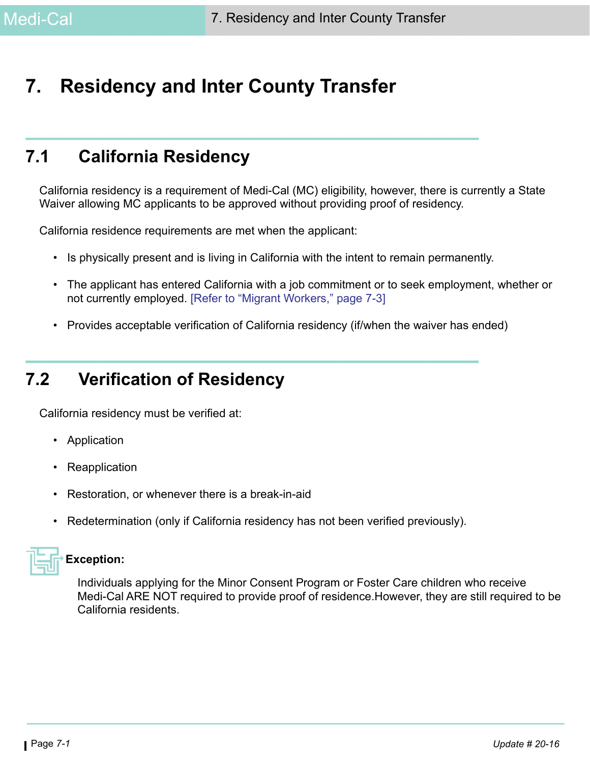# **7. Residency and Inter County Transfer**

# **7.1 California Residency**

California residency is a requirement of Medi-Cal (MC) eligibility, however, there is currently a State Waiver allowing MC applicants to be approved without providing proof of residency.

California residence requirements are met when the applicant:

- Is physically present and is living in California with the intent to remain permanently.
- The applicant has entered California with a job commitment or to seek employment, whether or not currently employed. [\[Refer to "Migrant Workers," page 7-3\]](#page-2-0)
- Provides acceptable verification of California residency (if/when the waiver has ended)

# **7.2 Verification of Residency**

California residency must be verified at:

- Application
- **Reapplication**
- Restoration, or whenever there is a break-in-aid
- Redetermination (only if California residency has not been verified previously).



### **Exception:**

Individuals applying for the Minor Consent Program or Foster Care children who receive Medi-Cal ARE NOT required to provide proof of residence.However, they are still required to be California residents.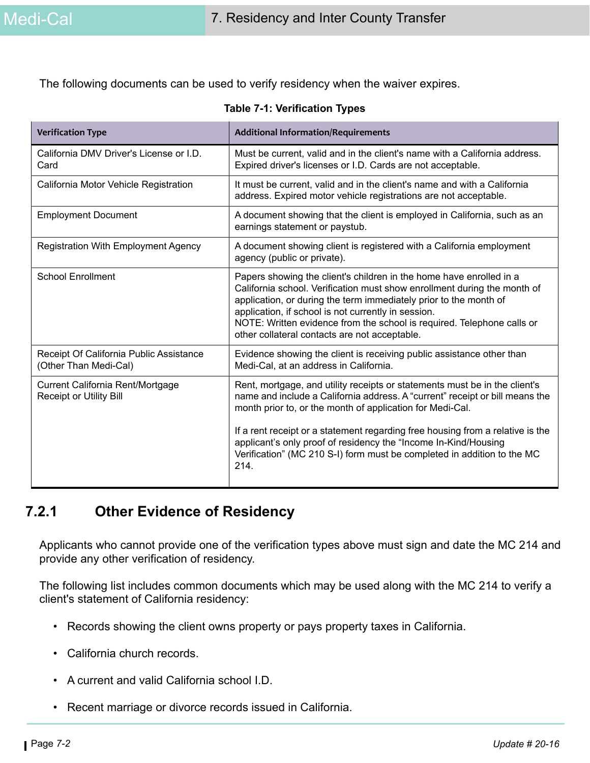The following documents can be used to verify residency when the waiver expires.

| <b>Verification Type</b>                                           | <b>Additional Information/Requirements</b>                                                                                                                                                                                                                                                                                                                                                                                                                      |
|--------------------------------------------------------------------|-----------------------------------------------------------------------------------------------------------------------------------------------------------------------------------------------------------------------------------------------------------------------------------------------------------------------------------------------------------------------------------------------------------------------------------------------------------------|
| California DMV Driver's License or I.D.<br>Card                    | Must be current, valid and in the client's name with a California address.<br>Expired driver's licenses or I.D. Cards are not acceptable.                                                                                                                                                                                                                                                                                                                       |
| California Motor Vehicle Registration                              | It must be current, valid and in the client's name and with a California<br>address. Expired motor vehicle registrations are not acceptable.                                                                                                                                                                                                                                                                                                                    |
| <b>Employment Document</b>                                         | A document showing that the client is employed in California, such as an<br>earnings statement or paystub.                                                                                                                                                                                                                                                                                                                                                      |
| <b>Registration With Employment Agency</b>                         | A document showing client is registered with a California employment<br>agency (public or private).                                                                                                                                                                                                                                                                                                                                                             |
| <b>School Enrollment</b>                                           | Papers showing the client's children in the home have enrolled in a<br>California school. Verification must show enrollment during the month of<br>application, or during the term immediately prior to the month of<br>application, if school is not currently in session.<br>NOTE: Written evidence from the school is required. Telephone calls or<br>other collateral contacts are not acceptable.                                                          |
| Receipt Of California Public Assistance<br>(Other Than Medi-Cal)   | Evidence showing the client is receiving public assistance other than<br>Medi-Cal, at an address in California.                                                                                                                                                                                                                                                                                                                                                 |
| Current California Rent/Mortgage<br><b>Receipt or Utility Bill</b> | Rent, mortgage, and utility receipts or statements must be in the client's<br>name and include a California address. A "current" receipt or bill means the<br>month prior to, or the month of application for Medi-Cal.<br>If a rent receipt or a statement regarding free housing from a relative is the<br>applicant's only proof of residency the "Income In-Kind/Housing<br>Verification" (MC 210 S-I) form must be completed in addition to the MC<br>214. |

#### **Table 7-1: Verification Types**

### **7.2.1 Other Evidence of Residency**

Applicants who cannot provide one of the verification types above must sign and date the MC 214 and provide any other verification of residency.

The following list includes common documents which may be used along with the MC 214 to verify a client's statement of California residency:

- Records showing the client owns property or pays property taxes in California.
- California church records.
- A current and valid California school I.D.
- Recent marriage or divorce records issued in California.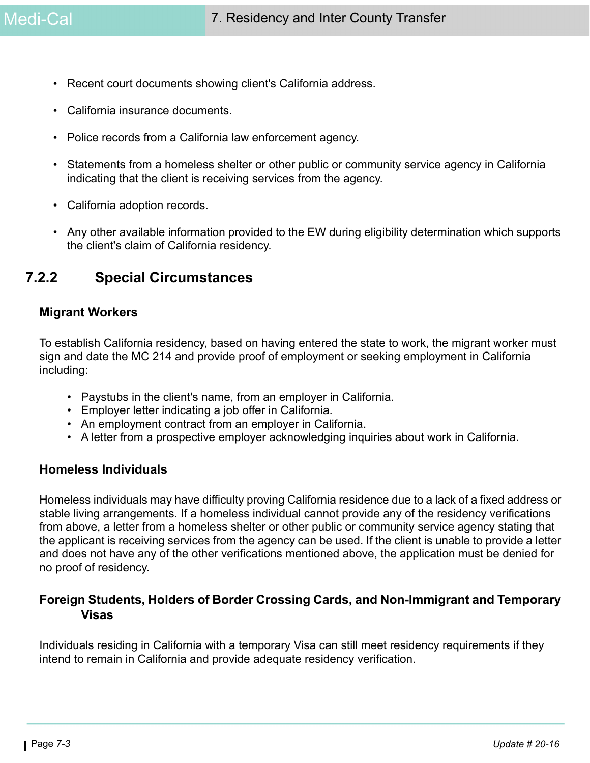- Recent court documents showing client's California address.
- California insurance documents.
- Police records from a California law enforcement agency.
- Statements from a homeless shelter or other public or community service agency in California indicating that the client is receiving services from the agency.
- California adoption records.
- Any other available information provided to the EW during eligibility determination which supports the client's claim of California residency.

### **7.2.2 Special Circumstances**

#### <span id="page-2-0"></span>**Migrant Workers**

To establish California residency, based on having entered the state to work, the migrant worker must sign and date the MC 214 and provide proof of employment or seeking employment in California including:

- Paystubs in the client's name, from an employer in California.
- Employer letter indicating a job offer in California.
- An employment contract from an employer in California.
- A letter from a prospective employer acknowledging inquiries about work in California.

#### **Homeless Individuals**

Homeless individuals may have difficulty proving California residence due to a lack of a fixed address or stable living arrangements. If a homeless individual cannot provide any of the residency verifications from above, a letter from a homeless shelter or other public or community service agency stating that the applicant is receiving services from the agency can be used. If the client is unable to provide a letter and does not have any of the other verifications mentioned above, the application must be denied for no proof of residency.

### **Foreign Students, Holders of Border Crossing Cards, and Non-Immigrant and Temporary Visas**

Individuals residing in California with a temporary Visa can still meet residency requirements if they intend to remain in California and provide adequate residency verification.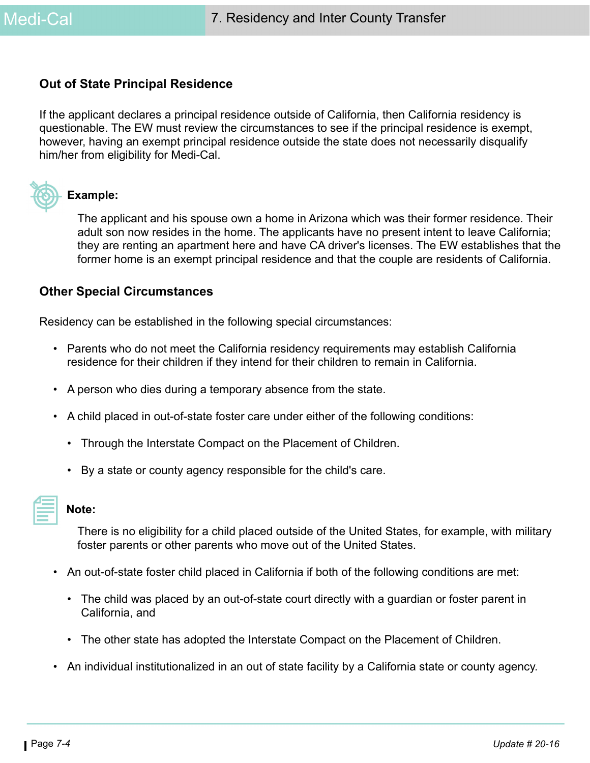#### **Out of State Principal Residence**

If the applicant declares a principal residence outside of California, then California residency is questionable. The EW must review the circumstances to see if the principal residence is exempt, however, having an exempt principal residence outside the state does not necessarily disqualify him/her from eligibility for Medi-Cal.



#### **Example:**

The applicant and his spouse own a home in Arizona which was their former residence. Their adult son now resides in the home. The applicants have no present intent to leave California; they are renting an apartment here and have CA driver's licenses. The EW establishes that the former home is an exempt principal residence and that the couple are residents of California.

#### **Other Special Circumstances**

Residency can be established in the following special circumstances:

- Parents who do not meet the California residency requirements may establish California residence for their children if they intend for their children to remain in California.
- A person who dies during a temporary absence from the state.
- A child placed in out-of-state foster care under either of the following conditions:
	- Through the Interstate Compact on the Placement of Children.
	- By a state or county agency responsible for the child's care.

| $\mathcal{L}^{\text{max}}_{\text{max}}$ and $\mathcal{L}^{\text{max}}_{\text{max}}$ and $\mathcal{L}^{\text{max}}_{\text{max}}$ |  |
|---------------------------------------------------------------------------------------------------------------------------------|--|
|                                                                                                                                 |  |
| _______                                                                                                                         |  |
|                                                                                                                                 |  |

#### **Note:**

There is no eligibility for a child placed outside of the United States, for example, with military foster parents or other parents who move out of the United States.

- An out-of-state foster child placed in California if both of the following conditions are met:
	- The child was placed by an out-of-state court directly with a guardian or foster parent in California, and
	- The other state has adopted the Interstate Compact on the Placement of Children.
- An individual institutionalized in an out of state facility by a California state or county agency.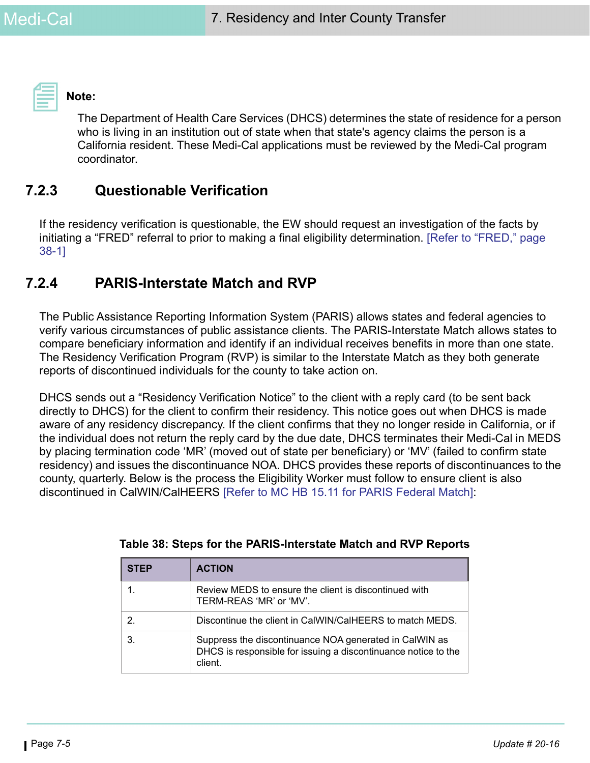

**Note:** 

The Department of Health Care Services (DHCS) determines the state of residence for a person who is living in an institution out of state when that state's agency claims the person is a California resident. These Medi-Cal applications must be reviewed by the Medi-Cal program coordinator.

### **7.2.3 Questionable Verification**

If the residency verification is questionable, the EW should request an investigation of the facts by initiating a "FRED" referral to prior to making a final eligibility determination. [Refer to "FRED," page 38-1]

### **7.2.4 PARIS-Interstate Match and RVP**

The Public Assistance Reporting Information System (PARIS) allows states and federal agencies to verify various circumstances of public assistance clients. The PARIS-Interstate Match allows states to compare beneficiary information and identify if an individual receives benefits in more than one state. The Residency Verification Program (RVP) is similar to the Interstate Match as they both generate reports of discontinued individuals for the county to take action on.

DHCS sends out a "Residency Verification Notice" to the client with a reply card (to be sent back directly to DHCS) for the client to confirm their residency. This notice goes out when DHCS is made aware of any residency discrepancy. If the client confirms that they no longer reside in California, or if the individual does not return the reply card by the due date, DHCS terminates their Medi-Cal in MEDS by placing termination code 'MR' (moved out of state per beneficiary) or 'MV' (failed to confirm state residency) and issues the discontinuance NOA. DHCS provides these reports of discontinuances to the county, quarterly. Below is the process the Eligibility Worker must follow to ensure client is also discontinued in CalWIN/CalHEERS [\[Refer to MC HB 15.11 for PARIS Federal Match\]](https://ssaconnect.sccgov.org/ssa_departments/debs_program/Documents/handbooks/medical/mcchap15.pdf#page=19):

| <b>STEP</b> | <b>ACTION</b>                                                                                                                       |
|-------------|-------------------------------------------------------------------------------------------------------------------------------------|
|             | Review MEDS to ensure the client is discontinued with<br>TERM-REAS 'MR' or 'MV'.                                                    |
| 2           | Discontinue the client in CalWIN/CalHEERS to match MEDS.                                                                            |
| 3.          | Suppress the discontinuance NOA generated in CalWIN as<br>DHCS is responsible for issuing a discontinuance notice to the<br>client. |

**Table 38: Steps for the PARIS-Interstate Match and RVP Reports**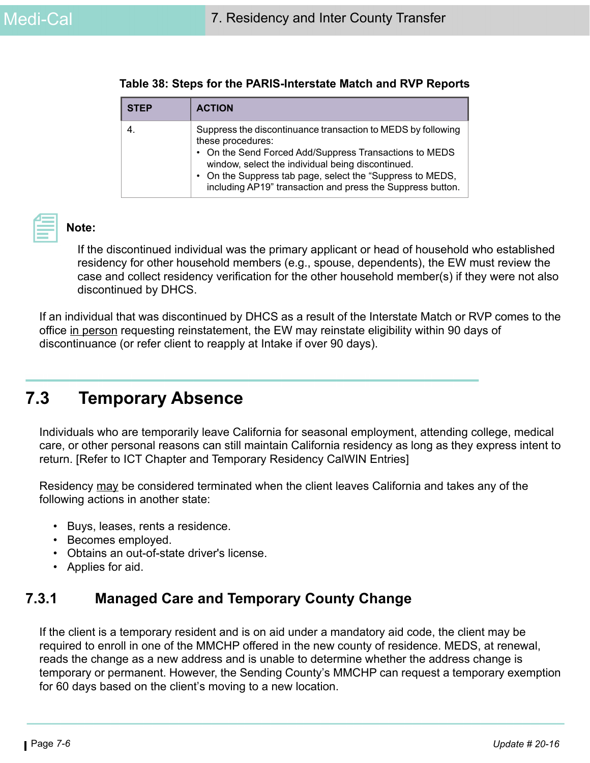| <b>STEP</b> | <b>ACTION</b>                                                                                                                                                                                                                                                                                                               |
|-------------|-----------------------------------------------------------------------------------------------------------------------------------------------------------------------------------------------------------------------------------------------------------------------------------------------------------------------------|
| 4.          | Suppress the discontinuance transaction to MEDS by following<br>these procedures:<br>• On the Send Forced Add/Suppress Transactions to MEDS<br>window, select the individual being discontinued.<br>• On the Suppress tab page, select the "Suppress to MEDS,<br>including AP19" transaction and press the Suppress button. |



### **Note:**

If the discontinued individual was the primary applicant or head of household who established residency for other household members (e.g., spouse, dependents), the EW must review the case and collect residency verification for the other household member(s) if they were not also discontinued by DHCS.

If an individual that was discontinued by DHCS as a result of the Interstate Match or RVP comes to the office in person requesting reinstatement, the EW may reinstate eligibility within 90 days of discontinuance (or refer client to reapply at Intake if over 90 days).

# <span id="page-5-0"></span>**7.3 Temporary Absence**

Individuals who are temporarily leave California for seasonal employment, attending college, medical care, or other personal reasons can still maintain California residency as long as they express intent to return. [Refer to ICT Chapter and Temporary Residency CalWIN Entries]

Residency may be considered terminated when the client leaves California and takes any of the following actions in another state:

- Buys, leases, rents a residence.
- Becomes employed.
- Obtains an out-of-state driver's license.
- Applies for aid.

## **7.3.1 Managed Care and Temporary County Change**

If the client is a temporary resident and is on aid under a mandatory aid code, the client may be required to enroll in one of the MMCHP offered in the new county of residence. MEDS, at renewal, reads the change as a new address and is unable to determine whether the address change is temporary or permanent. However, the Sending County's MMCHP can request a temporary exemption for 60 days based on the client's moving to a new location.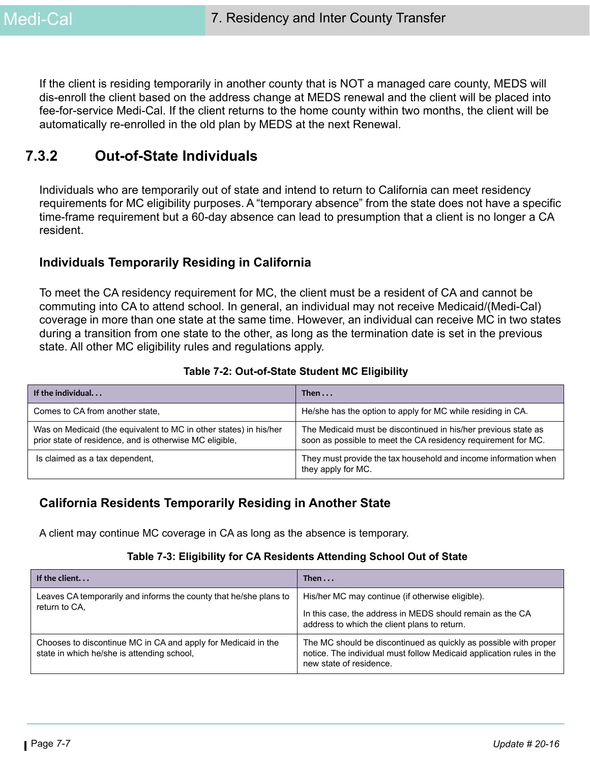If the client is residing temporarily in another county that is NOT a managed care county, MEDS will dis-enroll the client based on the address change at MEDS renewal and the client will be placed into fee-for-service Medi-Cal. If the client returns to the home county within two months, the client will be automatically re-enrolled in the old plan by MEDS at the next Renewal.

### **7.3.2 Out-of-State Individuals**

Individuals who are temporarily out of state and intend to return to California can meet residency requirements for MC eligibility purposes. A "temporary absence" from the state does not have a specific time-frame requirement but a 60-day absence can lead to presumption that a client is no longer a CA resident.

### **Individuals Temporarily Residing in California**

To meet the CA residency requirement for MC, the client must be a resident of CA and cannot be commuting into CA to attend school. In general, an individual may not receive Medicaid/(Medi-Cal) coverage in more than one state at the same time. However, an individual can receive MC in two states during a transition from one state to the other, as long as the termination date is set in the previous state. All other MC eligibility rules and regulations apply.

|  | Table 7-2: Out-of-State Student MC Eligibility |  |  |
|--|------------------------------------------------|--|--|
|--|------------------------------------------------|--|--|

| If the individual                                                                                                            | Then $\ldots$                                                                                                                   |
|------------------------------------------------------------------------------------------------------------------------------|---------------------------------------------------------------------------------------------------------------------------------|
| Comes to CA from another state,                                                                                              | He/she has the option to apply for MC while residing in CA.                                                                     |
| Was on Medicaid (the equivalent to MC in other states) in his/her<br>prior state of residence, and is otherwise MC eligible, | The Medicaid must be discontinued in his/her previous state as<br>soon as possible to meet the CA residency requirement for MC. |
| Is claimed as a tax dependent,                                                                                               | They must provide the tax household and income information when<br>they apply for MC.                                           |

### **California Residents Temporarily Residing in Another State**

A client may continue MC coverage in CA as long as the absence is temporary.

#### **Table 7-3: Eligibility for CA Residents Attending School Out of State**

| If the client                                                                                               | Then $\dots$                                                                                                                                                        |
|-------------------------------------------------------------------------------------------------------------|---------------------------------------------------------------------------------------------------------------------------------------------------------------------|
| Leaves CA temporarily and informs the county that he/she plans to<br>return to CA.                          | His/her MC may continue (if otherwise eligible).<br>In this case, the address in MEDS should remain as the CA<br>address to which the client plans to return.       |
| Chooses to discontinue MC in CA and apply for Medicaid in the<br>state in which he/she is attending school, | The MC should be discontinued as quickly as possible with proper<br>notice. The individual must follow Medicaid application rules in the<br>new state of residence. |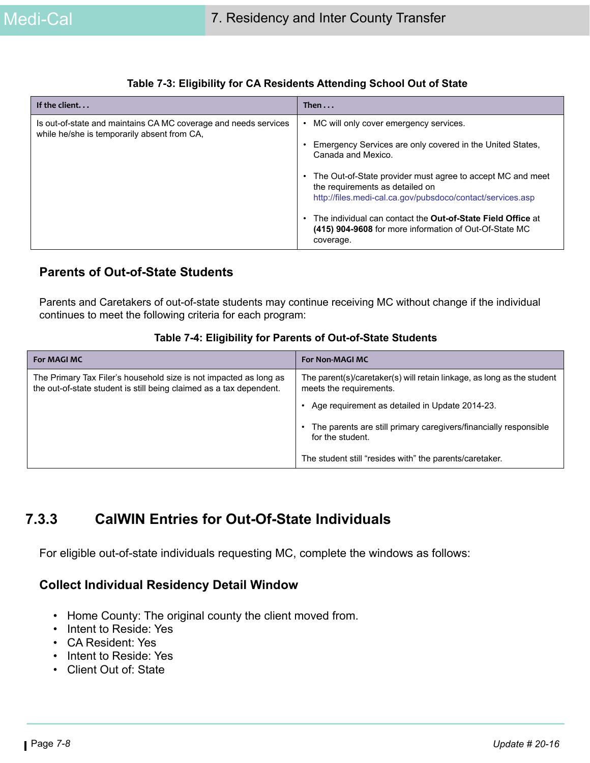| If the client                                                                                                  | Then $\ldots$                                                                                                                                                                                                                                                                                                                                                                                                                    |
|----------------------------------------------------------------------------------------------------------------|----------------------------------------------------------------------------------------------------------------------------------------------------------------------------------------------------------------------------------------------------------------------------------------------------------------------------------------------------------------------------------------------------------------------------------|
| Is out-of-state and maintains CA MC coverage and needs services<br>while he/she is temporarily absent from CA. | MC will only cover emergency services.<br>Emergency Services are only covered in the United States,<br>Canada and Mexico.<br>• The Out-of-State provider must agree to accept MC and meet<br>the requirements as detailed on<br>http://files.medi-cal.ca.gov/pubsdoco/contact/services.asp<br>The individual can contact the Out-of-State Field Office at<br>(415) 904-9608 for more information of Out-Of-State MC<br>coverage. |

#### **Table 7-3: Eligibility for CA Residents Attending School Out of State**

### **Parents of Out-of-State Students**

Parents and Caretakers of out-of-state students may continue receiving MC without change if the individual continues to meet the following criteria for each program:

#### **Table 7-4: Eligibility for Parents of Out-of-State Students**

| <b>For MAGI MC</b>                                                                                                                       | <b>For Non-MAGI MC</b>                                                                            |
|------------------------------------------------------------------------------------------------------------------------------------------|---------------------------------------------------------------------------------------------------|
| The Primary Tax Filer's household size is not impacted as long as<br>the out-of-state student is still being claimed as a tax dependent. | The parent(s)/caretaker(s) will retain linkage, as long as the student<br>meets the requirements. |
|                                                                                                                                          | Age requirement as detailed in Update 2014-23.                                                    |
|                                                                                                                                          | The parents are still primary caregivers/financially responsible<br>for the student.              |
|                                                                                                                                          | The student still "resides with" the parents/caretaker.                                           |

## **7.3.3 CalWIN Entries for Out-Of-State Individuals**

For eligible out-of-state individuals requesting MC, complete the windows as follows:

### **Collect Individual Residency Detail Window**

- Home County: The original county the client moved from.
- Intent to Reside: Yes
- CA Resident: Yes
- Intent to Reside: Yes
- Client Out of: State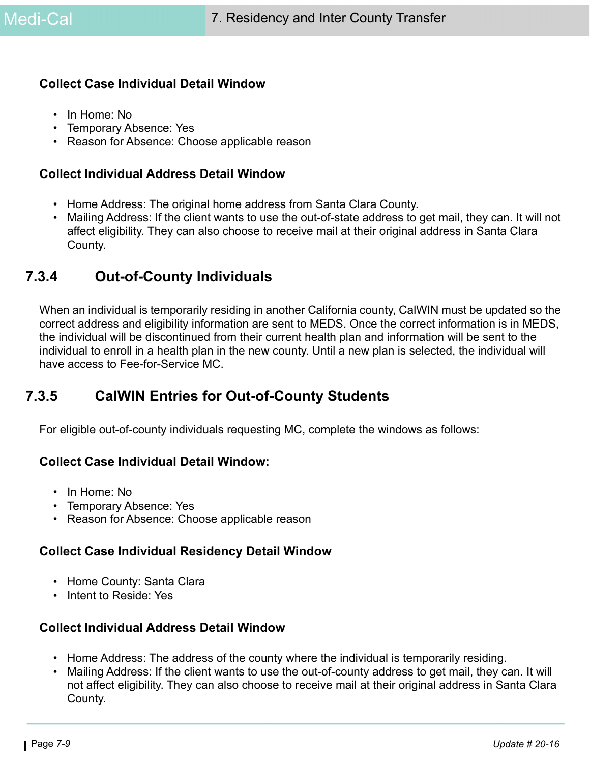#### **Collect Case Individual Detail Window**

- In Home: No
- Temporary Absence: Yes
- Reason for Absence: Choose applicable reason

#### **Collect Individual Address Detail Window**

- Home Address: The original home address from Santa Clara County.
- Mailing Address: If the client wants to use the out-of-state address to get mail, they can. It will not affect eligibility. They can also choose to receive mail at their original address in Santa Clara County.

### <span id="page-8-0"></span>**7.3.4 Out-of-County Individuals**

When an individual is temporarily residing in another California county, CalWIN must be updated so the correct address and eligibility information are sent to MEDS. Once the correct information is in MEDS, the individual will be discontinued from their current health plan and information will be sent to the individual to enroll in a health plan in the new county. Until a new plan is selected, the individual will have access to Fee-for-Service MC.

### **7.3.5 CalWIN Entries for Out-of-County Students**

For eligible out-of-county individuals requesting MC, complete the windows as follows:

### **Collect Case Individual Detail Window:**

- In Home: No
- Temporary Absence: Yes
- Reason for Absence: Choose applicable reason

### **Collect Case Individual Residency Detail Window**

- Home County: Santa Clara
- Intent to Reside: Yes

### **Collect Individual Address Detail Window**

- Home Address: The address of the county where the individual is temporarily residing.
- Mailing Address: If the client wants to use the out-of-county address to get mail, they can. It will not affect eligibility. They can also choose to receive mail at their original address in Santa Clara County.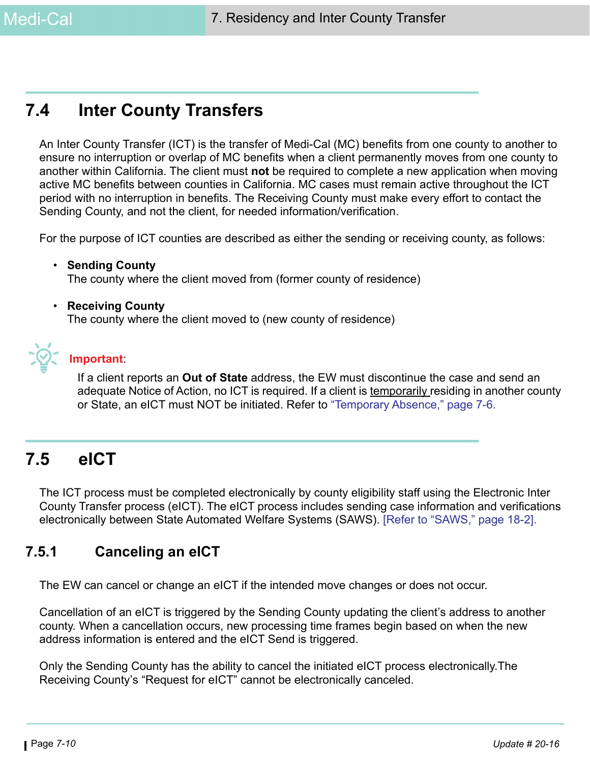# **7.4 Inter County Transfers**

An Inter County Transfer (ICT) is the transfer of Medi-Cal (MC) benefits from one county to another to ensure no interruption or overlap of MC benefits when a client permanently moves from one county to another within California. The client must **not** be required to complete a new application when moving active MC benefits between counties in California. MC cases must remain active throughout the ICT period with no interruption in benefits. The Receiving County must make every effort to contact the Sending County, and not the client, for needed information/verification.

For the purpose of ICT counties are described as either the sending or receiving county, as follows:

- **Sending County** The county where the client moved from (former county of residence)
- **Receiving County**

The county where the client moved to (new county of residence)



### **Important**:

If a client reports an **Out of State** address, the EW must discontinue the case and send an adequate Notice of Action, no ICT is required. If a client is temporarily residing in another county or State, an eICT must NOT be initiated. Refer to ["Temporary Absence," page 7-6.](#page-5-0)

# **7.5 eICT**

The ICT process must be completed electronically by county eligibility staff using the Electronic Inter County Transfer process (eICT). The eICT process includes sending case information and verifications electronically between State Automated Welfare Systems (SAWS). [Refer to "SAWS," page 18-2].

### **7.5.1 Canceling an eICT**

The EW can cancel or change an eICT if the intended move changes or does not occur.

Cancellation of an eICT is triggered by the Sending County updating the client's address to another county. When a cancellation occurs, new processing time frames begin based on when the new address information is entered and the eICT Send is triggered.

Only the Sending County has the ability to cancel the initiated eICT process electronically.The Receiving County's "Request for eICT" cannot be electronically canceled.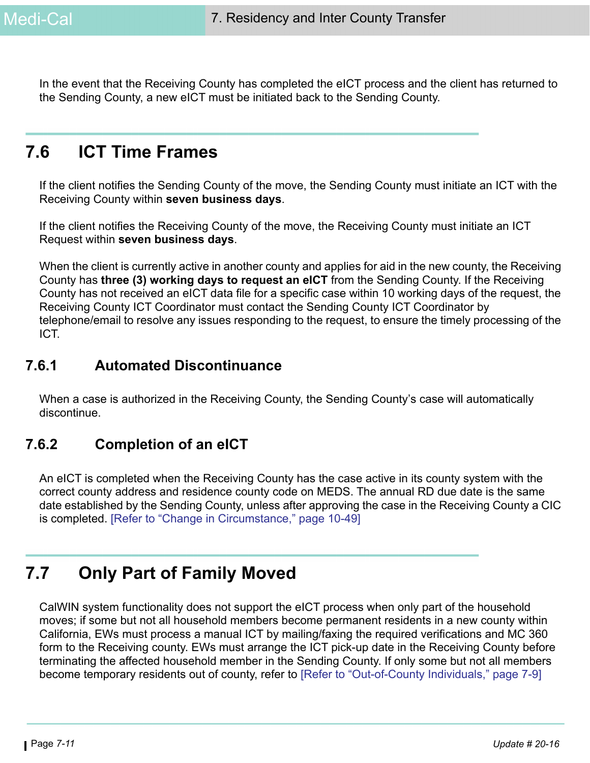In the event that the Receiving County has completed the eICT process and the client has returned to the Sending County, a new eICT must be initiated back to the Sending County.

# **7.6 ICT Time Frames**

If the client notifies the Sending County of the move, the Sending County must initiate an ICT with the Receiving County within **seven business days**.

If the client notifies the Receiving County of the move, the Receiving County must initiate an ICT Request within **seven business days**.

When the client is currently active in another county and applies for aid in the new county, the Receiving County has **three (3) working days to request an eICT** from the Sending County. If the Receiving County has not received an eICT data file for a specific case within 10 working days of the request, the Receiving County ICT Coordinator must contact the Sending County ICT Coordinator by telephone/email to resolve any issues responding to the request, to ensure the timely processing of the ICT.

### **7.6.1 Automated Discontinuance**

When a case is authorized in the Receiving County, the Sending County's case will automatically discontinue.

## **7.6.2 Completion of an eICT**

An eICT is completed when the Receiving County has the case active in its county system with the correct county address and residence county code on MEDS. The annual RD due date is the same date established by the Sending County, unless after approving the case in the Receiving County a CIC is completed. [Refer to "Change in Circumstance," page 10-49]

# <span id="page-10-0"></span>**7.7 Only Part of Family Moved**

CalWIN system functionality does not support the eICT process when only part of the household moves; if some but not all household members become permanent residents in a new county within California, EWs must process a manual ICT by mailing/faxing the required verifications and MC 360 form to the Receiving county. EWs must arrange the ICT pick-up date in the Receiving County before terminating the affected household member in the Sending County. If only some but not all members become temporary residents out of county, refer to [\[Refer to "Out-of-County Individuals," page 7-9\]](#page-8-0)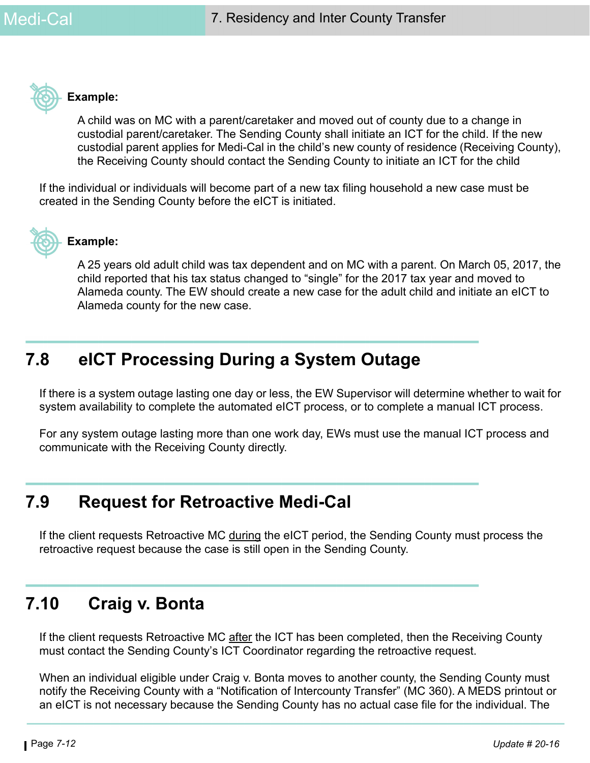

#### **Example:**

A child was on MC with a parent/caretaker and moved out of county due to a change in custodial parent/caretaker. The Sending County shall initiate an ICT for the child. If the new custodial parent applies for Medi-Cal in the child's new county of residence (Receiving County), the Receiving County should contact the Sending County to initiate an ICT for the child

If the individual or individuals will become part of a new tax filing household a new case must be created in the Sending County before the eICT is initiated.



### **Example:**

A 25 years old adult child was tax dependent and on MC with a parent. On March 05, 2017, the child reported that his tax status changed to "single" for the 2017 tax year and moved to Alameda county. The EW should create a new case for the adult child and initiate an eICT to Alameda county for the new case.

# **7.8 eICT Processing During a System Outage**

If there is a system outage lasting one day or less, the EW Supervisor will determine whether to wait for system availability to complete the automated eICT process, or to complete a manual ICT process.

For any system outage lasting more than one work day, EWs must use the manual ICT process and communicate with the Receiving County directly.

# **7.9 Request for Retroactive Medi-Cal**

If the client requests Retroactive MC during the eICT period, the Sending County must process the retroactive request because the case is still open in the Sending County.

# **7.10 Craig v. Bonta**

If the client requests Retroactive MC after the ICT has been completed, then the Receiving County must contact the Sending County's ICT Coordinator regarding the retroactive request.

When an individual eligible under Craig v. Bonta moves to another county, the Sending County must notify the Receiving County with a "Notification of Intercounty Transfer" (MC 360). A MEDS printout or an eICT is not necessary because the Sending County has no actual case file for the individual. The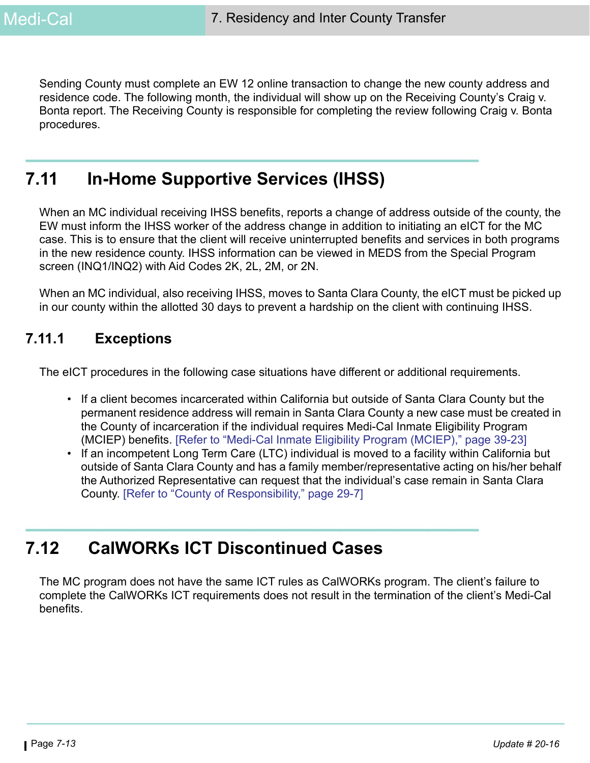Sending County must complete an EW 12 online transaction to change the new county address and residence code. The following month, the individual will show up on the Receiving County's Craig v. Bonta report. The Receiving County is responsible for completing the review following Craig v. Bonta procedures.

# **7.11 In-Home Supportive Services (IHSS)**

When an MC individual receiving IHSS benefits, reports a change of address outside of the county, the EW must inform the IHSS worker of the address change in addition to initiating an eICT for the MC case. This is to ensure that the client will receive uninterrupted benefits and services in both programs in the new residence county. IHSS information can be viewed in MEDS from the Special Program screen (INQ1/INQ2) with Aid Codes 2K, 2L, 2M, or 2N.

When an MC individual, also receiving IHSS, moves to Santa Clara County, the eICT must be picked up in our county within the allotted 30 days to prevent a hardship on the client with continuing IHSS.

### **7.11.1 Exceptions**

The eICT procedures in the following case situations have different or additional requirements.

- If a client becomes incarcerated within California but outside of Santa Clara County but the permanent residence address will remain in Santa Clara County a new case must be created in the County of incarceration if the individual requires Medi-Cal Inmate Eligibility Program (MCIEP) benefits. [Refer to "Medi-Cal Inmate Eligibility Program (MCIEP)," page 39-23]
- If an incompetent Long Term Care (LTC) individual is moved to a facility within California but outside of Santa Clara County and has a family member/representative acting on his/her behalf the Authorized Representative can request that the individual's case remain in Santa Clara County. [Refer to "County of Responsibility," page 29-7]

# **7.12 CalWORKs ICT Discontinued Cases**

The MC program does not have the same ICT rules as CalWORKs program. The client's failure to complete the CalWORKs ICT requirements does not result in the termination of the client's Medi-Cal benefits.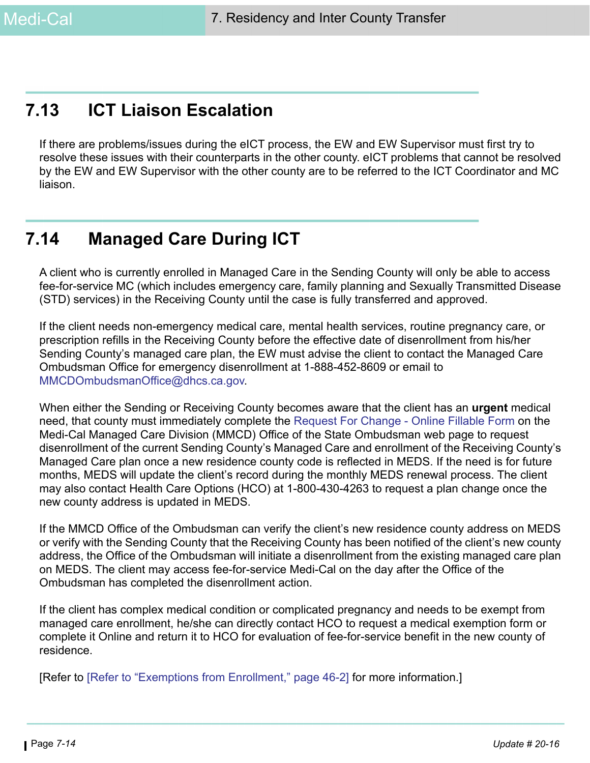# **7.13 ICT Liaison Escalation**

If there are problems/issues during the eICT process, the EW and EW Supervisor must first try to resolve these issues with their counterparts in the other county. eICT problems that cannot be resolved by the EW and EW Supervisor with the other county are to be referred to the ICT Coordinator and MC liaison.

# **7.14 Managed Care During ICT**

A client who is currently enrolled in Managed Care in the Sending County will only be able to access fee-for-service MC (which includes emergency care, family planning and Sexually Transmitted Disease (STD) services) in the Receiving County until the case is fully transferred and approved.

If the client needs non-emergency medical care, mental health services, routine pregnancy care, or prescription refills in the Receiving County before the effective date of disenrollment from his/her Sending County's managed care plan, the EW must advise the client to contact the Managed Care Ombudsman Office for emergency disenrollment at 1-888-452-8609 or email to MMCDOmbudsmanOffice@dhcs.ca.gov.

When either the Sending or Receiving County becomes aware that the client has an **urgent** medical need, that county must immediately complete the [Request For Change - Online Fillable Form o](http://www.dhcs.ca.gov/services/medi-cal/Pages/MMCDOfficeoftheOmbudsman.aspx)n the Medi-Cal Managed Care Division (MMCD) Office of the State Ombudsman web page to request disenrollment of the current Sending County's Managed Care and enrollment of the Receiving County's Managed Care plan once a new residence county code is reflected in MEDS. If the need is for future months, MEDS will update the client's record during the monthly MEDS renewal process. The client may also contact Health Care Options (HCO) at 1-800-430-4263 to request a plan change once the new county address is updated in MEDS.

If the MMCD Office of the Ombudsman can verify the client's new residence county address on MEDS or verify with the Sending County that the Receiving County has been notified of the client's new county address, the Office of the Ombudsman will initiate a disenrollment from the existing managed care plan on MEDS. The client may access fee-for-service Medi-Cal on the day after the Office of the Ombudsman has completed the disenrollment action.

If the client has complex medical condition or complicated pregnancy and needs to be exempt from managed care enrollment, he/she can directly contact HCO to request a medical exemption form or complete it Online and return it to HCO for evaluation of fee-for-service benefit in the new county of residence.

[Refer to [Refer to "Exemptions from Enrollment," page 46-2] for more information.]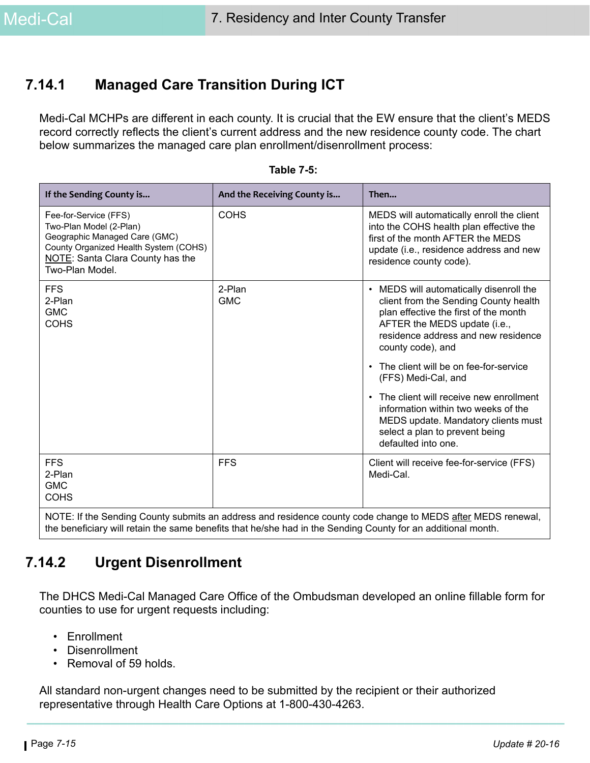### **7.14.1 Managed Care Transition During ICT**

Medi-Cal MCHPs are different in each county. It is crucial that the EW ensure that the client's MEDS record correctly reflects the client's current address and the new residence county code. The chart below summarizes the managed care plan enrollment/disenrollment process:

| If the Sending County is                                                                                                                                                          | And the Receiving County is | Then                                                                                                                                                                                                                                                                                                                                                                                                                                                                                           |
|-----------------------------------------------------------------------------------------------------------------------------------------------------------------------------------|-----------------------------|------------------------------------------------------------------------------------------------------------------------------------------------------------------------------------------------------------------------------------------------------------------------------------------------------------------------------------------------------------------------------------------------------------------------------------------------------------------------------------------------|
| Fee-for-Service (FFS)<br>Two-Plan Model (2-Plan)<br>Geographic Managed Care (GMC)<br>County Organized Health System (COHS)<br>NOTE: Santa Clara County has the<br>Two-Plan Model. | <b>COHS</b>                 | MEDS will automatically enroll the client<br>into the COHS health plan effective the<br>first of the month AFTER the MEDS<br>update (i.e., residence address and new<br>residence county code).                                                                                                                                                                                                                                                                                                |
| <b>FFS</b><br>2-Plan<br><b>GMC</b><br><b>COHS</b>                                                                                                                                 | 2-Plan<br><b>GMC</b>        | MEDS will automatically disenroll the<br>$\bullet$<br>client from the Sending County health<br>plan effective the first of the month<br>AFTER the MEDS update (i.e.,<br>residence address and new residence<br>county code), and<br>The client will be on fee-for-service<br>$\bullet$<br>(FFS) Medi-Cal, and<br>The client will receive new enrollment<br>information within two weeks of the<br>MEDS update. Mandatory clients must<br>select a plan to prevent being<br>defaulted into one. |
| <b>FFS</b><br>2-Plan<br><b>GMC</b><br><b>COHS</b>                                                                                                                                 | <b>FFS</b>                  | Client will receive fee-for-service (FFS)<br>Medi-Cal.                                                                                                                                                                                                                                                                                                                                                                                                                                         |
| NOTE: If the Conding County outpuite an address and residence county ande shapes to MEDS ofter MEDS repowel                                                                       |                             |                                                                                                                                                                                                                                                                                                                                                                                                                                                                                                |

| <b>Table 7-5:</b> |  |  |
|-------------------|--|--|
|                   |  |  |

NOTE: If the Sending County submits an address and residence county code change to MEDS <u>after</u> MEDS renewal, the beneficiary will retain the same benefits that he/she had in the Sending County for an additional month.

## **7.14.2 Urgent Disenrollment**

The DHCS Medi-Cal Managed Care Office of the Ombudsman developed an online fillable form for counties to use for urgent requests including:

- Enrollment
- Disenrollment
- Removal of 59 holds.

All standard non-urgent changes need to be submitted by the recipient or their authorized representative through Health Care Options at 1-800-430-4263.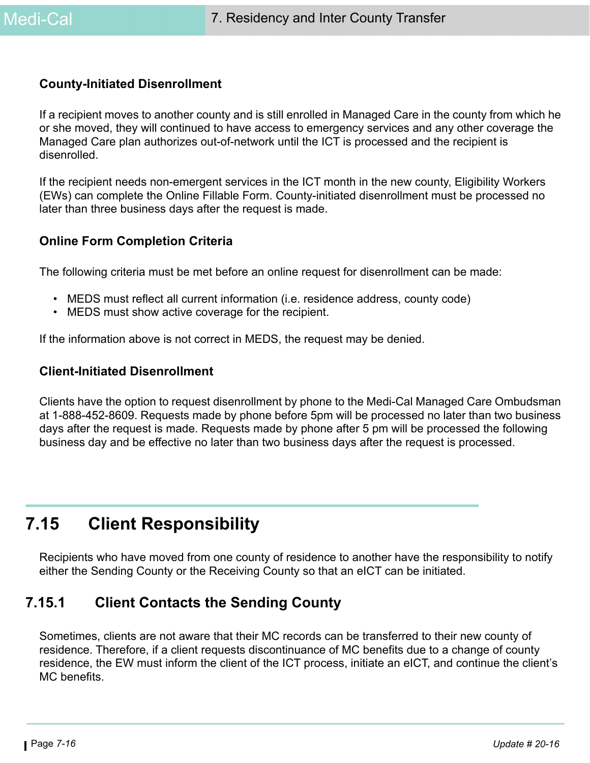### **County-Initiated Disenrollment**

If a recipient moves to another county and is still enrolled in Managed Care in the county from which he or she moved, they will continued to have access to emergency services and any other coverage the Managed Care plan authorizes out-of-network until the ICT is processed and the recipient is disenrolled.

If the recipient needs non-emergent services in the ICT month in the new county, Eligibility Workers (EWs) can complete the Online Fillable Form. County-initiated disenrollment must be processed no later than three business days after the request is made.

#### **Online Form Completion Criteria**

The following criteria must be met before an online request for disenrollment can be made:

- MEDS must reflect all current information (i.e. residence address, county code)
- MEDS must show active coverage for the recipient.

If the information above is not correct in MEDS, the request may be denied.

#### **Client-Initiated Disenrollment**

Clients have the option to request disenrollment by phone to the Medi-Cal Managed Care Ombudsman at 1-888-452-8609. Requests made by phone before 5pm will be processed no later than two business days after the request is made. Requests made by phone after 5 pm will be processed the following business day and be effective no later than two business days after the request is processed.

# **7.15 Client Responsibility**

Recipients who have moved from one county of residence to another have the responsibility to notify either the Sending County or the Receiving County so that an eICT can be initiated.

### **7.15.1 Client Contacts the Sending County**

Sometimes, clients are not aware that their MC records can be transferred to their new county of residence. Therefore, if a client requests discontinuance of MC benefits due to a change of county residence, the EW must inform the client of the ICT process, initiate an eICT, and continue the client's MC benefits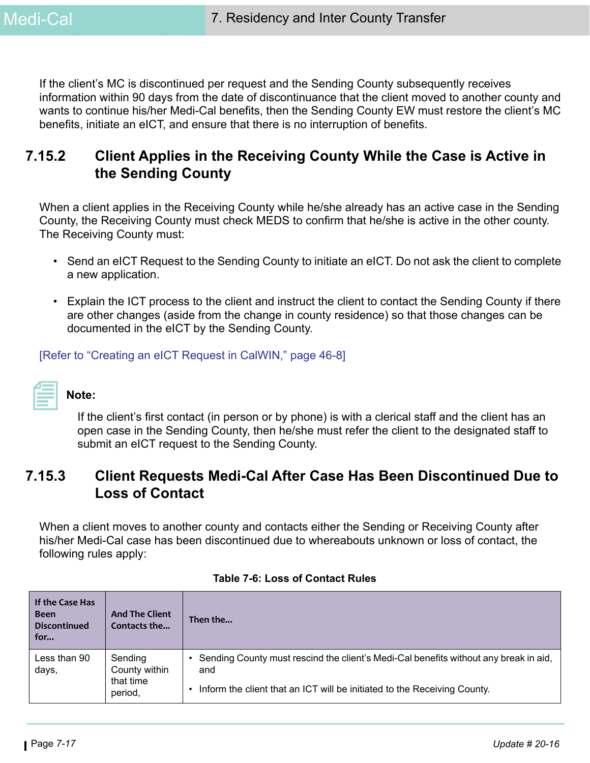If the client's MC is discontinued per request and the Sending County subsequently receives information within 90 days from the date of discontinuance that the client moved to another county and wants to continue his/her Medi-Cal benefits, then the Sending County EW must restore the client's MC benefits, initiate an eICT, and ensure that there is no interruption of benefits.

### **7.15.2 Client Applies in the Receiving County While the Case is Active in the Sending County**

When a client applies in the Receiving County while he/she already has an active case in the Sending County, the Receiving County must check MEDS to confirm that he/she is active in the other county. The Receiving County must:

- Send an eICT Request to the Sending County to initiate an eICT. Do not ask the client to complete a new application.
- Explain the ICT process to the client and instruct the client to contact the Sending County if there are other changes (aside from the change in county residence) so that those changes can be documented in the eICT by the Sending County.

[Refer to "Creating an eICT Request in CalWIN," page 46-8]

# **Note:**

If the client's first contact (in person or by phone) is with a clerical staff and the client has an open case in the Sending County, then he/she must refer the client to the designated staff to submit an eICT request to the Sending County.

### **7.15.3 Client Requests Medi-Cal After Case Has Been Discontinued Due to Loss of Contact**

When a client moves to another county and contacts either the Sending or Receiving County after his/her Medi-Cal case has been discontinued due to whereabouts unknown or loss of contact, the following rules apply:

| If the Case Has<br><b>Been</b><br><b>Discontinued</b><br>for | <b>And The Client</b><br>Contacts the            | Then the                                                                                                                                                                  |
|--------------------------------------------------------------|--------------------------------------------------|---------------------------------------------------------------------------------------------------------------------------------------------------------------------------|
| Less than 90<br>days,                                        | Sending<br>County within<br>that time<br>period, | • Sending County must rescind the client's Medi-Cal benefits without any break in aid,<br>and<br>Inform the client that an ICT will be initiated to the Receiving County. |

#### **Table 7-6: Loss of Contact Rules**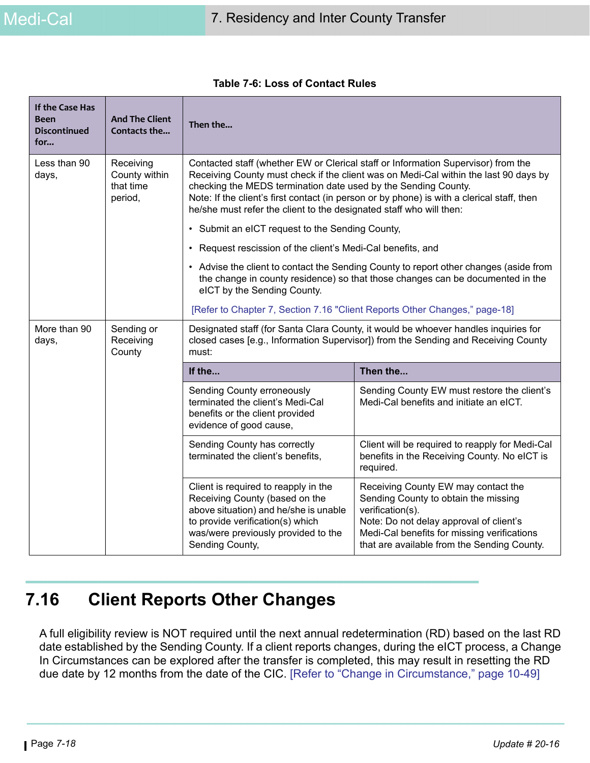| If the Case Has<br>Been<br><b>Discontinued</b><br>for | <b>And The Client</b><br>Contacts the              | Then the                                                                                                                                                                                                                                                                                                                                                                                                                                                                                                                           |                                                                                                                                                                                                                                          |
|-------------------------------------------------------|----------------------------------------------------|------------------------------------------------------------------------------------------------------------------------------------------------------------------------------------------------------------------------------------------------------------------------------------------------------------------------------------------------------------------------------------------------------------------------------------------------------------------------------------------------------------------------------------|------------------------------------------------------------------------------------------------------------------------------------------------------------------------------------------------------------------------------------------|
| Less than 90<br>days,                                 | Receiving<br>County within<br>that time<br>period, | Contacted staff (whether EW or Clerical staff or Information Supervisor) from the<br>Receiving County must check if the client was on Medi-Cal within the last 90 days by<br>checking the MEDS termination date used by the Sending County.<br>Note: If the client's first contact (in person or by phone) is with a clerical staff, then<br>he/she must refer the client to the designated staff who will then:<br>• Submit an eICT request to the Sending County,<br>• Request rescission of the client's Medi-Cal benefits, and |                                                                                                                                                                                                                                          |
|                                                       |                                                    | eICT by the Sending County.<br>[Refer to Chapter 7, Section 7.16 "Client Reports Other Changes," page-18]                                                                                                                                                                                                                                                                                                                                                                                                                          | • Advise the client to contact the Sending County to report other changes (aside from<br>the change in county residence) so that those changes can be documented in the                                                                  |
| More than 90<br>days,                                 | Sending or<br>Receiving<br>County                  | Designated staff (for Santa Clara County, it would be whoever handles inquiries for<br>closed cases [e.g., Information Supervisor]) from the Sending and Receiving County<br>must:                                                                                                                                                                                                                                                                                                                                                 |                                                                                                                                                                                                                                          |
|                                                       |                                                    | If the                                                                                                                                                                                                                                                                                                                                                                                                                                                                                                                             | Then the                                                                                                                                                                                                                                 |
|                                                       |                                                    | Sending County erroneously<br>terminated the client's Medi-Cal<br>benefits or the client provided<br>evidence of good cause,                                                                                                                                                                                                                                                                                                                                                                                                       | Sending County EW must restore the client's<br>Medi-Cal benefits and initiate an eICT.                                                                                                                                                   |
|                                                       |                                                    | Sending County has correctly<br>terminated the client's benefits,                                                                                                                                                                                                                                                                                                                                                                                                                                                                  | Client will be required to reapply for Medi-Cal<br>benefits in the Receiving County. No eICT is<br>required.                                                                                                                             |
|                                                       |                                                    | Client is required to reapply in the<br>Receiving County (based on the<br>above situation) and he/she is unable<br>to provide verification(s) which<br>was/were previously provided to the<br>Sending County,                                                                                                                                                                                                                                                                                                                      | Receiving County EW may contact the<br>Sending County to obtain the missing<br>verification(s).<br>Note: Do not delay approval of client's<br>Medi-Cal benefits for missing verifications<br>that are available from the Sending County. |

#### **Table 7-6: Loss of Contact Rules**

# <span id="page-17-0"></span>**7.16 Client Reports Other Changes**

A full eligibility review is NOT required until the next annual redetermination (RD) based on the last RD date established by the Sending County. If a client reports changes, during the eICT process, a Change In Circumstances can be explored after the transfer is completed, this may result in resetting the RD due date by 12 months from the date of the CIC. [Refer to "Change in Circumstance," page 10-49]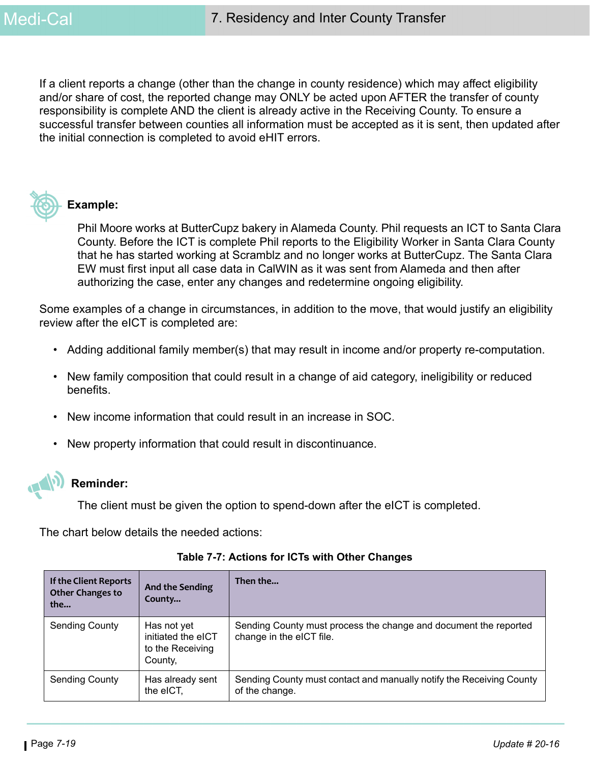If a client reports a change (other than the change in county residence) which may affect eligibility and/or share of cost, the reported change may ONLY be acted upon AFTER the transfer of county responsibility is complete AND the client is already active in the Receiving County. To ensure a successful transfer between counties all information must be accepted as it is sent, then updated after the initial connection is completed to avoid eHIT errors.



#### **Example:**

Phil Moore works at ButterCupz bakery in Alameda County. Phil requests an ICT to Santa Clara County. Before the ICT is complete Phil reports to the Eligibility Worker in Santa Clara County that he has started working at Scramblz and no longer works at ButterCupz. The Santa Clara EW must first input all case data in CalWIN as it was sent from Alameda and then after authorizing the case, enter any changes and redetermine ongoing eligibility.

Some examples of a change in circumstances, in addition to the move, that would justify an eligibility review after the eICT is completed are:

- Adding additional family member(s) that may result in income and/or property re-computation.
- New family composition that could result in a change of aid category, ineligibility or reduced benefits.
- New income information that could result in an increase in SOC.
- New property information that could result in discontinuance.



#### **Reminder:**

The client must be given the option to spend-down after the eICT is completed.

The chart below details the needed actions:

| If the Client Reports<br>Other Changes to<br>the | <b>And the Sending</b><br>County                                 | Then the                                                                                     |
|--------------------------------------------------|------------------------------------------------------------------|----------------------------------------------------------------------------------------------|
| <b>Sending County</b>                            | Has not yet<br>initiated the eICT<br>to the Receiving<br>County, | Sending County must process the change and document the reported<br>change in the eICT file. |
| <b>Sending County</b>                            | Has already sent<br>the eICT.                                    | Sending County must contact and manually notify the Receiving County<br>of the change.       |

**Table 7-7: Actions for ICTs with Other Changes**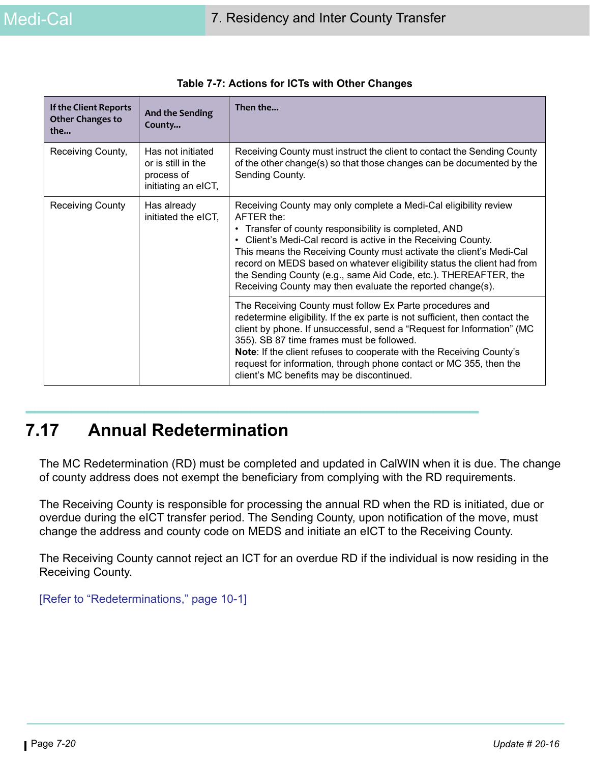| If the Client Reports<br><b>Other Changes to</b><br>the | <b>And the Sending</b><br>County                                             | Then the                                                                                                                                                                                                                                                                                                                                                                                                                                                                                               |
|---------------------------------------------------------|------------------------------------------------------------------------------|--------------------------------------------------------------------------------------------------------------------------------------------------------------------------------------------------------------------------------------------------------------------------------------------------------------------------------------------------------------------------------------------------------------------------------------------------------------------------------------------------------|
| Receiving County,                                       | Has not initiated<br>or is still in the<br>process of<br>initiating an eICT, | Receiving County must instruct the client to contact the Sending County<br>of the other change(s) so that those changes can be documented by the<br>Sending County.                                                                                                                                                                                                                                                                                                                                    |
| <b>Receiving County</b>                                 | Has already<br>initiated the eICT,                                           | Receiving County may only complete a Medi-Cal eligibility review<br>AFTER the:<br>• Transfer of county responsibility is completed, AND<br>Client's Medi-Cal record is active in the Receiving County.<br>$\bullet$<br>This means the Receiving County must activate the client's Medi-Cal<br>record on MEDS based on whatever eligibility status the client had from<br>the Sending County (e.g., same Aid Code, etc.). THEREAFTER, the<br>Receiving County may then evaluate the reported change(s). |
|                                                         |                                                                              | The Receiving County must follow Ex Parte procedures and<br>redetermine eligibility. If the ex parte is not sufficient, then contact the<br>client by phone. If unsuccessful, send a "Request for Information" (MC<br>355). SB 87 time frames must be followed.<br>Note: If the client refuses to cooperate with the Receiving County's<br>request for information, through phone contact or MC 355, then the<br>client's MC benefits may be discontinued.                                             |

| Table 7-7: Actions for ICTs with Other Changes |  |
|------------------------------------------------|--|
|------------------------------------------------|--|

# **7.17 Annual Redetermination**

The MC Redetermination (RD) must be completed and updated in CalWIN when it is due. The change of county address does not exempt the beneficiary from complying with the RD requirements.

The Receiving County is responsible for processing the annual RD when the RD is initiated, due or overdue during the eICT transfer period. The Sending County, upon notification of the move, must change the address and county code on MEDS and initiate an eICT to the Receiving County.

The Receiving County cannot reject an ICT for an overdue RD if the individual is now residing in the Receiving County.

[Refer to "Redeterminations," page 10-1]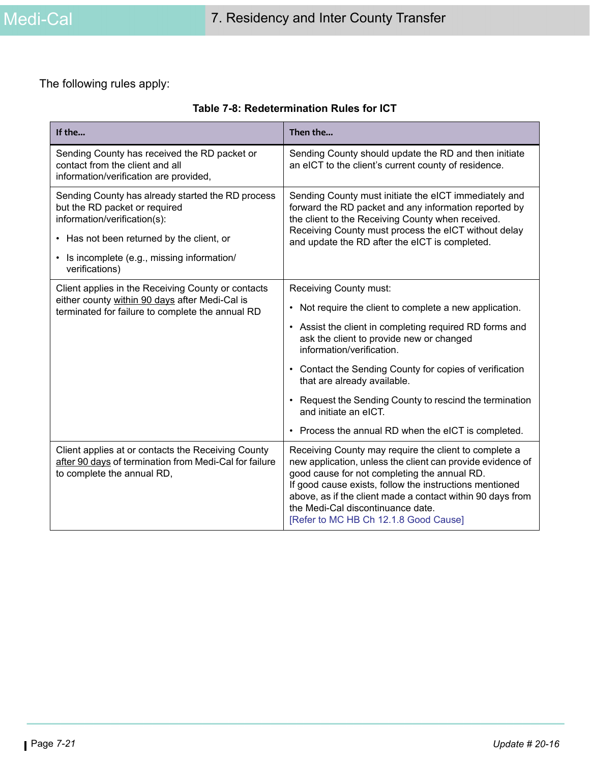The following rules apply:

| Table 7-8: Redetermination Rules for ICT |  |  |
|------------------------------------------|--|--|
|------------------------------------------|--|--|

| If the                                                                                                                                     | Then the                                                                                                                                                                                                                                                                                                                                                                   |  |
|--------------------------------------------------------------------------------------------------------------------------------------------|----------------------------------------------------------------------------------------------------------------------------------------------------------------------------------------------------------------------------------------------------------------------------------------------------------------------------------------------------------------------------|--|
| Sending County has received the RD packet or<br>contact from the client and all<br>information/verification are provided,                  | Sending County should update the RD and then initiate<br>an eICT to the client's current county of residence.                                                                                                                                                                                                                                                              |  |
| Sending County has already started the RD process<br>but the RD packet or required<br>information/verification(s):                         | Sending County must initiate the eICT immediately and<br>forward the RD packet and any information reported by<br>the client to the Receiving County when received.<br>Receiving County must process the eICT without delay                                                                                                                                                |  |
| • Has not been returned by the client, or                                                                                                  | and update the RD after the eICT is completed.                                                                                                                                                                                                                                                                                                                             |  |
| Is incomplete (e.g., missing information/<br>$\bullet$<br>verifications)                                                                   |                                                                                                                                                                                                                                                                                                                                                                            |  |
| Client applies in the Receiving County or contacts                                                                                         | <b>Receiving County must:</b>                                                                                                                                                                                                                                                                                                                                              |  |
| either county within 90 days after Medi-Cal is<br>terminated for failure to complete the annual RD                                         | • Not require the client to complete a new application.                                                                                                                                                                                                                                                                                                                    |  |
|                                                                                                                                            | • Assist the client in completing required RD forms and<br>ask the client to provide new or changed<br>information/verification.                                                                                                                                                                                                                                           |  |
|                                                                                                                                            | Contact the Sending County for copies of verification<br>that are already available.                                                                                                                                                                                                                                                                                       |  |
|                                                                                                                                            | Request the Sending County to rescind the termination<br>and initiate an eICT.                                                                                                                                                                                                                                                                                             |  |
|                                                                                                                                            | • Process the annual RD when the eICT is completed.                                                                                                                                                                                                                                                                                                                        |  |
| Client applies at or contacts the Receiving County<br>after 90 days of termination from Medi-Cal for failure<br>to complete the annual RD, | Receiving County may require the client to complete a<br>new application, unless the client can provide evidence of<br>good cause for not completing the annual RD.<br>If good cause exists, follow the instructions mentioned<br>above, as if the client made a contact within 90 days from<br>the Medi-Cal discontinuance date.<br>[Refer to MC HB Ch 12.1.8 Good Cause] |  |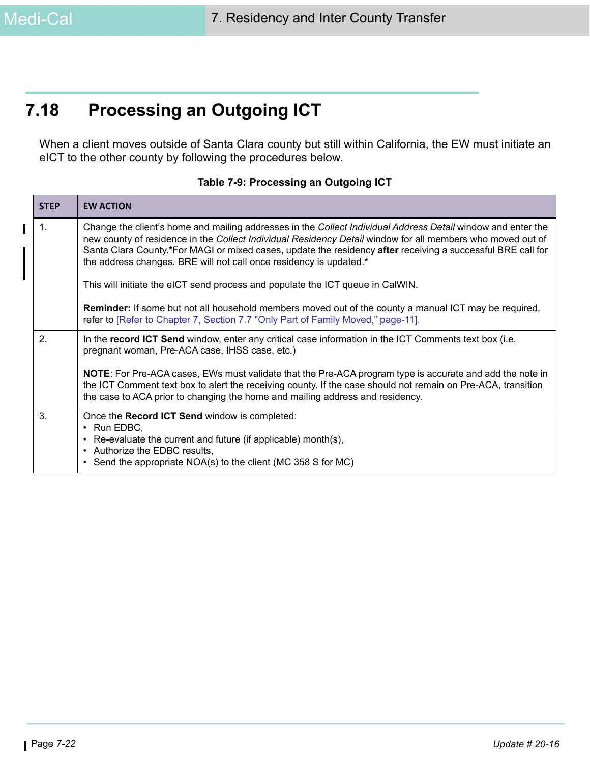# **7.18 Processing an Outgoing ICT**

When a client moves outside of Santa Clara county but still within California, the EW must initiate an eICT to the other county by following the procedures below.

| <b>STEP</b> | <b>EW ACTION</b>                                                                                                                                                                                                                                                                                                                                                                                                |
|-------------|-----------------------------------------------------------------------------------------------------------------------------------------------------------------------------------------------------------------------------------------------------------------------------------------------------------------------------------------------------------------------------------------------------------------|
| 1.          | Change the client's home and mailing addresses in the Collect Individual Address Detail window and enter the<br>new county of residence in the Collect Individual Residency Detail window for all members who moved out of<br>Santa Clara County.*For MAGI or mixed cases, update the residency after receiving a successful BRE call for<br>the address changes. BRE will not call once residency is updated.* |
|             | This will initiate the eICT send process and populate the ICT queue in CalWIN.                                                                                                                                                                                                                                                                                                                                  |
|             | <b>Reminder:</b> If some but not all household members moved out of the county a manual ICT may be required,<br>refer to [Refer to Chapter 7, Section 7.7 "Only Part of Family Moved," page-11].                                                                                                                                                                                                                |
| 2.          | In the record ICT Send window, enter any critical case information in the ICT Comments text box (i.e.<br>pregnant woman, Pre-ACA case, IHSS case, etc.)                                                                                                                                                                                                                                                         |
|             | <b>NOTE:</b> For Pre-ACA cases, EWs must validate that the Pre-ACA program type is accurate and add the note in<br>the ICT Comment text box to alert the receiving county. If the case should not remain on Pre-ACA, transition<br>the case to ACA prior to changing the home and mailing address and residency.                                                                                                |
| 3.          | Once the Record ICT Send window is completed:<br>$\cdot$ Run EDBC,<br>• Re-evaluate the current and future (if applicable) month(s),<br>• Authorize the EDBC results,<br>• Send the appropriate NOA(s) to the client (MC 358 S for MC)                                                                                                                                                                          |

#### **Table 7-9: Processing an Outgoing ICT**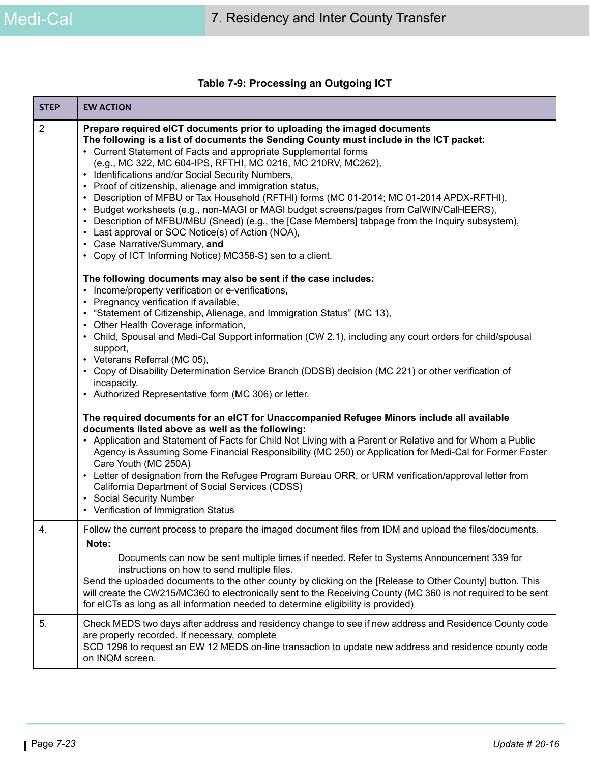|  |  | Table 7-9: Processing an Outgoing ICT |  |
|--|--|---------------------------------------|--|
|--|--|---------------------------------------|--|

| <b>STEP</b> | <b>EW ACTION</b>                                                                                                                                                                                                                                                                                                                                                                                                                                                                                                                                                                                                                                                                                                                                                                                                                                                                                                                      |
|-------------|---------------------------------------------------------------------------------------------------------------------------------------------------------------------------------------------------------------------------------------------------------------------------------------------------------------------------------------------------------------------------------------------------------------------------------------------------------------------------------------------------------------------------------------------------------------------------------------------------------------------------------------------------------------------------------------------------------------------------------------------------------------------------------------------------------------------------------------------------------------------------------------------------------------------------------------|
| 2           | Prepare required eICT documents prior to uploading the imaged documents<br>The following is a list of documents the Sending County must include in the ICT packet:<br>• Current Statement of Facts and appropriate Supplemental forms<br>(e.g., MC 322, MC 604-IPS, RFTHI, MC 0216, MC 210RV, MC262),<br>Identifications and/or Social Security Numbers,<br>• Proof of citizenship, alienage and immigration status,<br>• Description of MFBU or Tax Household (RFTHI) forms (MC 01-2014; MC 01-2014 APDX-RFTHI),<br>• Budget worksheets (e.g., non-MAGI or MAGI budget screens/pages from CalWIN/CalHEERS),<br>• Description of MFBU/MBU (Sneed) (e.g., the [Case Members] tabpage from the Inquiry subsystem),<br>• Last approval or SOC Notice(s) of Action (NOA),<br>• Case Narrative/Summary, and<br>• Copy of ICT Informing Notice) MC358-S) sen to a client.<br>The following documents may also be sent if the case includes: |
|             | • Income/property verification or e-verifications,<br>• Pregnancy verification if available,<br>• "Statement of Citizenship, Alienage, and Immigration Status" (MC 13),<br>Other Health Coverage information,<br>• Child, Spousal and Medi-Cal Support information (CW 2.1), including any court orders for child/spousal<br>support,<br>• Veterans Referral (MC 05),<br>• Copy of Disability Determination Service Branch (DDSB) decision (MC 221) or other verification of                                                                                                                                                                                                                                                                                                                                                                                                                                                          |
|             | incapacity.<br>• Authorized Representative form (MC 306) or letter.                                                                                                                                                                                                                                                                                                                                                                                                                                                                                                                                                                                                                                                                                                                                                                                                                                                                   |
|             | The required documents for an eICT for Unaccompanied Refugee Minors include all available<br>documents listed above as well as the following:<br>• Application and Statement of Facts for Child Not Living with a Parent or Relative and for Whom a Public<br>Agency is Assuming Some Financial Responsibility (MC 250) or Application for Medi-Cal for Former Foster<br>Care Youth (MC 250A)<br>• Letter of designation from the Refugee Program Bureau ORR, or URM verification/approval letter from<br>California Department of Social Services (CDSS)<br><b>Social Security Number</b><br>٠<br>• Verification of Immigration Status                                                                                                                                                                                                                                                                                               |
| 4           | Follow the current process to prepare the imaged document files from IDM and upload the files/documents.<br>Note:<br>Documents can now be sent multiple times if needed. Refer to Systems Announcement 339 for<br>instructions on how to send multiple files.<br>Send the uploaded documents to the other county by clicking on the [Release to Other County] button. This<br>will create the CW215/MC360 to electronically sent to the Receiving County (MC 360 is not required to be sent<br>for eICTs as long as all information needed to determine eligibility is provided)                                                                                                                                                                                                                                                                                                                                                      |
| 5.          | Check MEDS two days after address and residency change to see if new address and Residence County code<br>are properly recorded. If necessary, complete<br>SCD 1296 to request an EW 12 MEDS on-line transaction to update new address and residence county code<br>on INQM screen.                                                                                                                                                                                                                                                                                                                                                                                                                                                                                                                                                                                                                                                   |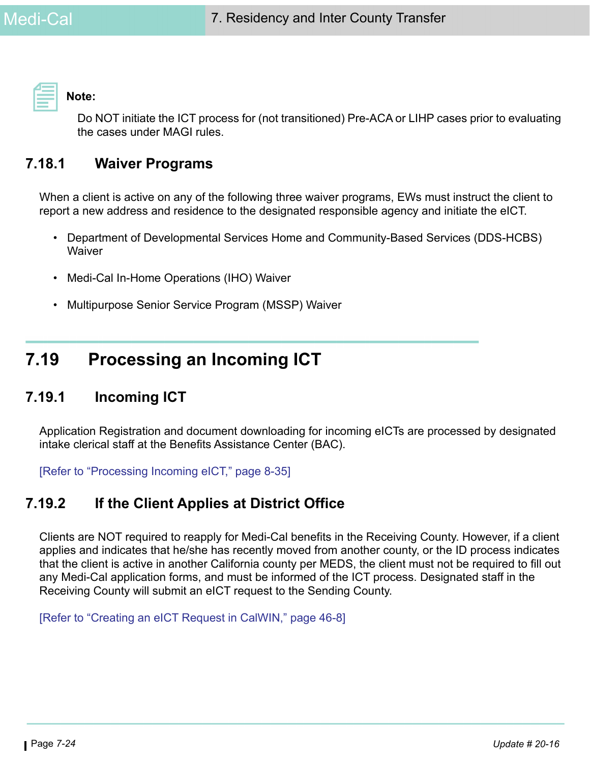**Note:** 

Do NOT initiate the ICT process for (not transitioned) Pre-ACA or LIHP cases prior to evaluating the cases under MAGI rules.

### **7.18.1 Waiver Programs**

When a client is active on any of the following three waiver programs, EWs must instruct the client to report a new address and residence to the designated responsible agency and initiate the eICT.

- Department of Developmental Services Home and Community-Based Services (DDS-HCBS) **Waiver**
- Medi-Cal In-Home Operations (IHO) Waiver
- Multipurpose Senior Service Program (MSSP) Waiver

# **7.19 Processing an Incoming ICT**

### **7.19.1 Incoming ICT**

Application Registration and document downloading for incoming eICTs are processed by designated intake clerical staff at the Benefits Assistance Center (BAC).

[Refer to "Processing Incoming eICT," page 8-35]

### **7.19.2 If the Client Applies at District Office**

Clients are NOT required to reapply for Medi-Cal benefits in the Receiving County. However, if a client applies and indicates that he/she has recently moved from another county, or the ID process indicates that the client is active in another California county per MEDS, the client must not be required to fill out any Medi-Cal application forms, and must be informed of the ICT process. Designated staff in the Receiving County will submit an eICT request to the Sending County.

[Refer to "Creating an eICT Request in CalWIN," page 46-8]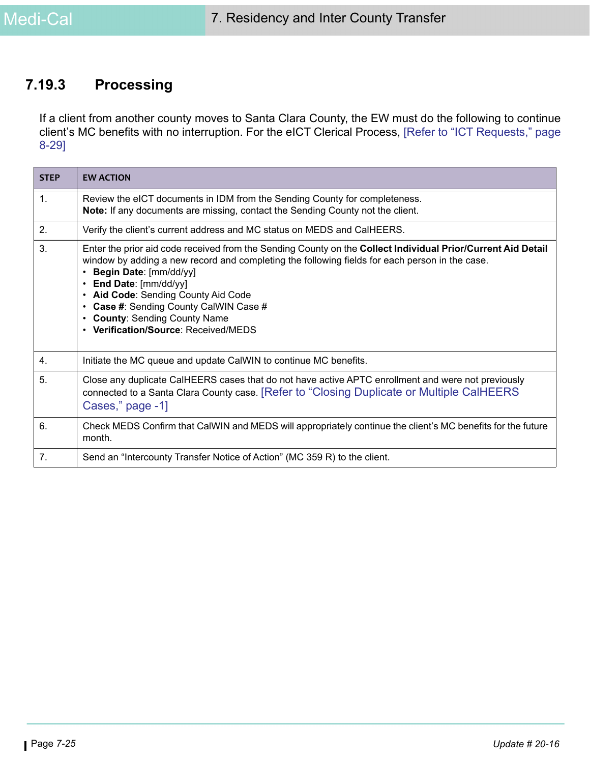### **7.19.3 Processing**

If a client from another county moves to Santa Clara County, the EW must do the following to continue client's MC benefits with no interruption. For the eICT Clerical Process, [Refer to "ICT Requests," page 8-29]

| <b>STEP</b>    | <b>EW ACTION</b>                                                                                                                                                                                                                                                                                                                                                                                                                                               |
|----------------|----------------------------------------------------------------------------------------------------------------------------------------------------------------------------------------------------------------------------------------------------------------------------------------------------------------------------------------------------------------------------------------------------------------------------------------------------------------|
| $\mathbf{1}$ . | Review the eICT documents in IDM from the Sending County for completeness.<br><b>Note:</b> If any documents are missing, contact the Sending County not the client.                                                                                                                                                                                                                                                                                            |
| 2.             | Verify the client's current address and MC status on MEDS and CalHEERS.                                                                                                                                                                                                                                                                                                                                                                                        |
| 3.             | Enter the prior aid code received from the Sending County on the Collect Individual Prior/Current Aid Detail<br>window by adding a new record and completing the following fields for each person in the case.<br>Begin Date: [mm/dd/yy]<br>End Date: [mm/dd/yy]<br>• Aid Code: Sending County Aid Code<br><b>Case #: Sending County CalWIN Case #</b><br>$\bullet$<br><b>County: Sending County Name</b><br>$\bullet$<br>• Verification/Source: Received/MEDS |
| 4.             | Initiate the MC queue and update CalWIN to continue MC benefits.                                                                                                                                                                                                                                                                                                                                                                                               |
| 5.             | Close any duplicate CalHEERS cases that do not have active APTC enrollment and were not previously<br>connected to a Santa Clara County case. [Refer to "Closing Duplicate or Multiple CalHEERS<br>Cases," page -1]                                                                                                                                                                                                                                            |
| 6.             | Check MEDS Confirm that CalWIN and MEDS will appropriately continue the client's MC benefits for the future<br>month.                                                                                                                                                                                                                                                                                                                                          |
| 7.             | Send an "Intercounty Transfer Notice of Action" (MC 359 R) to the client.                                                                                                                                                                                                                                                                                                                                                                                      |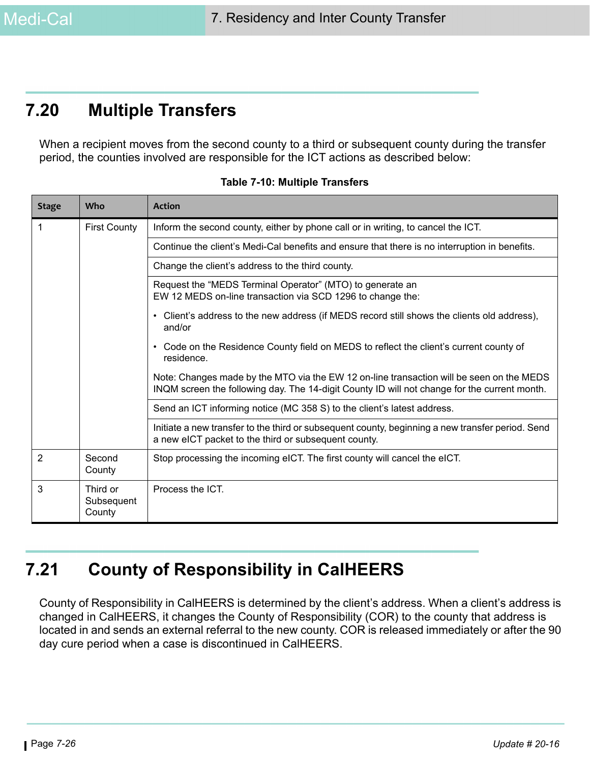# **7.20 Multiple Transfers**

When a recipient moves from the second county to a third or subsequent county during the transfer period, the counties involved are responsible for the ICT actions as described below:

| <b>Stage</b> | Who                              | <b>Action</b>                                                                                                                                                                            |
|--------------|----------------------------------|------------------------------------------------------------------------------------------------------------------------------------------------------------------------------------------|
| 1            | <b>First County</b>              | Inform the second county, either by phone call or in writing, to cancel the ICT.                                                                                                         |
|              |                                  | Continue the client's Medi-Cal benefits and ensure that there is no interruption in benefits.                                                                                            |
|              |                                  | Change the client's address to the third county.                                                                                                                                         |
|              |                                  | Request the "MEDS Terminal Operator" (MTO) to generate an<br>EW 12 MEDS on-line transaction via SCD 1296 to change the:                                                                  |
|              |                                  | Client's address to the new address (if MEDS record still shows the clients old address),<br>$\bullet$<br>and/or                                                                         |
|              |                                  | Code on the Residence County field on MEDS to reflect the client's current county of<br>$\bullet$<br>residence.                                                                          |
|              |                                  | Note: Changes made by the MTO via the EW 12 on-line transaction will be seen on the MEDS<br>INQM screen the following day. The 14-digit County ID will not change for the current month. |
|              |                                  | Send an ICT informing notice (MC 358 S) to the client's latest address.                                                                                                                  |
|              |                                  | Initiate a new transfer to the third or subsequent county, beginning a new transfer period. Send<br>a new eICT packet to the third or subsequent county.                                 |
| 2            | Second<br>County                 | Stop processing the incoming eICT. The first county will cancel the eICT.                                                                                                                |
| 3            | Third or<br>Subsequent<br>County | Process the ICT.                                                                                                                                                                         |

**Table 7-10: Multiple Transfers**

# **7.21 County of Responsibility in CalHEERS**

County of Responsibility in CalHEERS is determined by the client's address. When a client's address is changed in CalHEERS, it changes the County of Responsibility (COR) to the county that address is located in and sends an external referral to the new county. COR is released immediately or after the 90 day cure period when a case is discontinued in CalHEERS.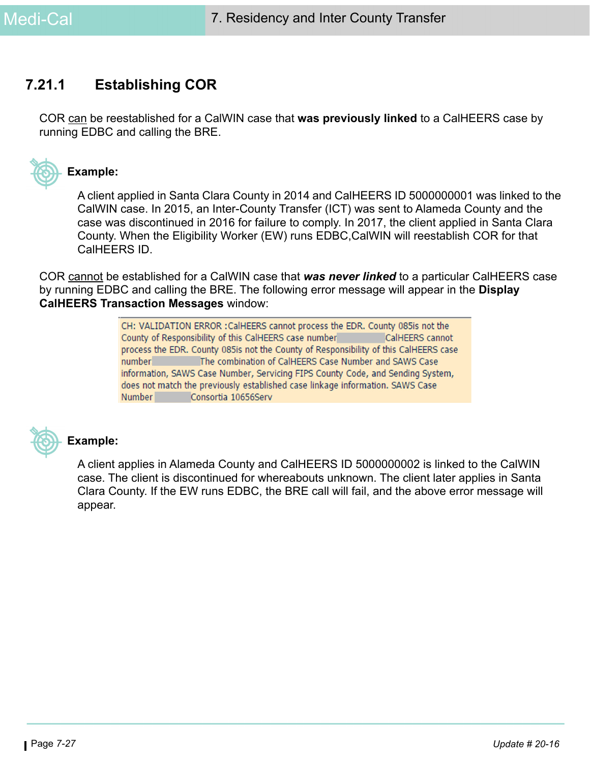### **7.21.1 Establishing COR**

COR can be reestablished for a CalWIN case that **was previously linked** to a CalHEERS case by running EDBC and calling the BRE.



#### **Example:**

A client applied in Santa Clara County in 2014 and CalHEERS ID 5000000001 was linked to the CalWIN case. In 2015, an Inter-County Transfer (ICT) was sent to Alameda County and the case was discontinued in 2016 for failure to comply. In 2017, the client applied in Santa Clara County. When the Eligibility Worker (EW) runs EDBC,CalWIN will reestablish COR for that CalHEERS ID.

COR cannot be established for a CalWIN case that *was never linked* to a particular CalHEERS case by running EDBC and calling the BRE. The following error message will appear in the **Display CalHEERS Transaction Messages** window:

> CH: VALIDATION ERROR : CalHEERS cannot process the EDR. County 085is not the County of Responsibility of this CalHEERS case number CalHEERS cannot process the EDR. County 085is not the County of Responsibility of this CalHEERS case number The combination of CalHEERS Case Number and SAWS Case information, SAWS Case Number, Servicing FIPS County Code, and Sending System, does not match the previously established case linkage information. SAWS Case Number Consortia 10656Serv



#### **Example:**

A client applies in Alameda County and CalHEERS ID 5000000002 is linked to the CalWIN case. The client is discontinued for whereabouts unknown. The client later applies in Santa Clara County. If the EW runs EDBC, the BRE call will fail, and the above error message will appear.